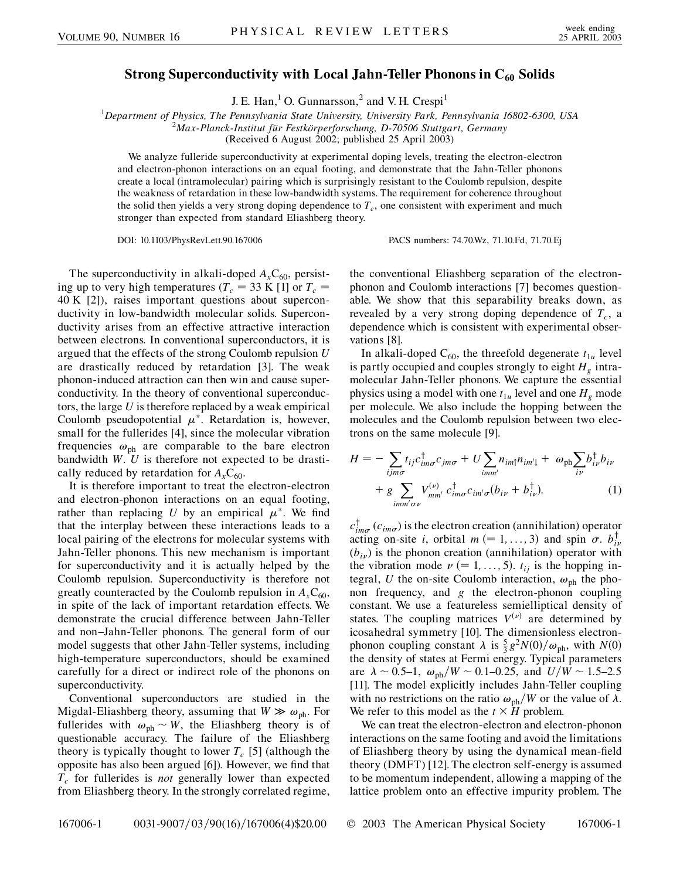## Strong Superconductivity with Local Jahn-Teller Phonons in C<sub>60</sub> Solids

J. E. Han,<sup>1</sup> O. Gunnarsson,<sup>2</sup> and V. H. Crespi<sup>1</sup>

<sup>1</sup>Department of Physics, The Pennsylvania State University, University Park, Pennsylvania 16802-6300, USA<br><sup>2</sup>Max Planck Institut für Eastkörnerforschung, D. 70506 Stuttgart Germany

*Max-Planck-Institut fu¨r Festko¨rperforschung, D-70506 Stuttgart, Germany*

(Received 6 August 2002; published 25 April 2003)

We analyze fulleride superconductivity at experimental doping levels, treating the electron-electron and electron-phonon interactions on an equal footing, and demonstrate that the Jahn-Teller phonons create a local (intramolecular) pairing which is surprisingly resistant to the Coulomb repulsion, despite the weakness of retardation in these low-bandwidth systems. The requirement for coherence throughout the solid then yields a very strong doping dependence to  $T_c$ , one consistent with experiment and much stronger than expected from standard Eliashberg theory.

DOI: 10.1103/PhysRevLett.90.167006 PACS numbers: 74.70.Wz, 71.10.Fd, 71.70.Ej

The superconductivity in alkali-doped  $A_xC_{60}$ , persisting up to very high temperatures ( $T_c = 33$  K [1] or  $T_c =$ 40 K [2]), raises important questions about superconductivity in low-bandwidth molecular solids. Superconductivity arises from an effective attractive interaction between electrons. In conventional superconductors, it is argued that the effects of the strong Coulomb repulsion *U* are drastically reduced by retardation [3]. The weak phonon-induced attraction can then win and cause superconductivity. In the theory of conventional superconductors, the large *U* is therefore replaced by a weak empirical Coulomb pseudopotential  $\mu^*$ . Retardation is, however, small for the fullerides [4], since the molecular vibration frequencies  $\omega_{ph}$  are comparable to the bare electron bandwidth *W*. *U* is therefore not expected to be drastically reduced by retardation for  $A<sub>x</sub>C<sub>60</sub>$ .

It is therefore important to treat the electron-electron and electron-phonon interactions on an equal footing, rather than replacing  $U$  by an empirical  $\mu^*$ . We find that the interplay between these interactions leads to a local pairing of the electrons for molecular systems with Jahn-Teller phonons. This new mechanism is important for superconductivity and it is actually helped by the Coulomb repulsion. Superconductivity is therefore not greatly counteracted by the Coulomb repulsion in  $A<sub>x</sub>C<sub>60</sub>$ , in spite of the lack of important retardation effects. We demonstrate the crucial difference between Jahn-Teller and non–Jahn-Teller phonons. The general form of our model suggests that other Jahn-Teller systems, including high-temperature superconductors, should be examined carefully for a direct or indirect role of the phonons on superconductivity.

Conventional superconductors are studied in the Migdal-Eliashberg theory, assuming that  $W \gg \omega_{ph}$ . For fullerides with  $\omega_{ph} \sim W$ , the Eliashberg theory is of questionable accuracy. The failure of the Eliashberg theory is typically thought to lower  $T_c$  [5] (although the opposite has also been argued [6]). However, we find that  $T_c$  for fullerides is *not* generally lower than expected from Eliashberg theory. In the strongly correlated regime, the conventional Eliashberg separation of the electronphonon and Coulomb interactions [7] becomes questionable. We show that this separability breaks down, as revealed by a very strong doping dependence of  $T_c$ , a dependence which is consistent with experimental observations [8].

In alkali-doped  $C_{60}$ , the threefold degenerate  $t_{1u}$  level is partly occupied and couples strongly to eight  $H<sub>g</sub>$  intramolecular Jahn-Teller phonons. We capture the essential physics using a model with one  $t_{1u}$  level and one  $H_g$  mode per molecule. We also include the hopping between the molecules and the Coulomb repulsion between two electrons on the same molecule [9].

$$
H = -\sum_{ijm\sigma} t_{ij} c^{\dagger}_{im\sigma} c_{jm\sigma} + U \sum_{imm'} n_{im\uparrow} n_{im\uparrow} + \omega_{\text{ph}} \sum_{i\nu} b^{\dagger}_{i\nu} b_{i\nu}
$$

$$
+ g \sum_{imm'\sigma\nu} V^{(\nu)}_{mn'} c^{\dagger}_{im\sigma} c_{im'\sigma} (b_{i\nu} + b^{\dagger}_{i\nu}). \tag{1}
$$

 $c^{\dagger}_{im\sigma}$  ( $c_{im\sigma}$ ) is the electron creation (annihilation) operator acting on-site *i*, orbital  $m$  (= 1, ..., 3) and spin  $\sigma$ .  $b_{i\nu}^{\dagger}$  $(b_{i\nu})$  is the phonon creation (annihilation) operator with the vibration mode  $\nu$  (= 1, ..., 5).  $t_{ij}$  is the hopping integral, *U* the on-site Coulomb interaction,  $\omega_{ph}$  the phonon frequency, and *g* the electron-phonon coupling constant. We use a featureless semielliptical density of states. The coupling matrices  $V^{(\nu)}$  are determined by icosahedral symmetry [10]. The dimensionless electronphonon coupling constant  $\lambda$  is  $\frac{5}{3}g^2N(0)/\omega_{\text{ph}}$ , with  $N(0)$ the density of states at Fermi energy. Typical parameters are  $\lambda \sim 0.5-1$ ,  $\omega_{\text{ph}}/W \sim 0.1-0.25$ , and  $U/W \sim 1.5-2.5$ [11]. The model explicitly includes Jahn-Teller coupling with no restrictions on the ratio  $\omega_{ph}/W$  or the value of  $\lambda$ . We refer to this model as the  $t \times H$  problem.

We can treat the electron-electron and electron-phonon interactions on the same footing and avoid the limitations of Eliashberg theory by using the dynamical mean-field theory (DMFT) [12]. The electron self-energy is assumed to be momentum independent, allowing a mapping of the lattice problem onto an effective impurity problem. The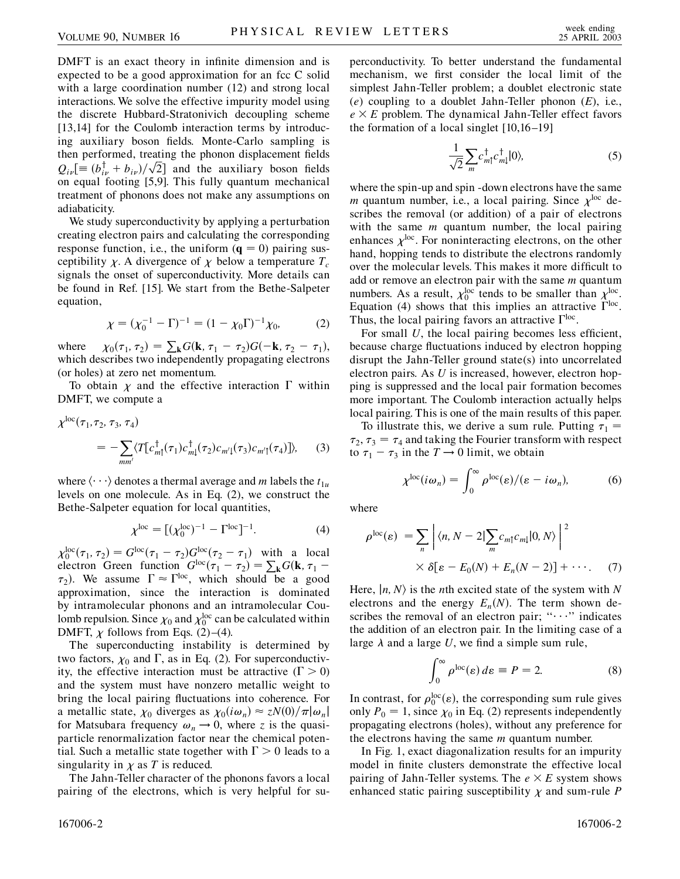DMFT is an exact theory in infinite dimension and is expected to be a good approximation for an fcc C solid with a large coordination number (12) and strong local interactions. We solve the effective impurity model using the discrete Hubbard-Stratonivich decoupling scheme [13,14] for the Coulomb interaction terms by introducing auxiliary boson fields. Monte-Carlo sampling is then performed, treating the phonon displacement fields then performed, treating the phonon displacement fields  $Q_{i\nu}$  =  $(b_{i\nu}^{\dagger} + b_{i\nu})/\sqrt{2}$  and the auxiliary boson fields .<br>-<br>7 .<br>י on equal footing [5,9]. This fully quantum mechanical treatment of phonons does not make any assumptions on adiabaticity.

We study superconductivity by applying a perturbation creating electron pairs and calculating the corresponding response function, i.e., the uniform  $(q = 0)$  pairing susceptibility  $\chi$ . A divergence of  $\chi$  below a temperature  $T_c$ signals the onset of superconductivity. More details can be found in Ref. [15]. We start from the Bethe-Salpeter equation,

$$
\chi = (\chi_0^{-1} - \Gamma)^{-1} = (1 - \chi_0 \Gamma)^{-1} \chi_0, \tag{2}
$$

where  $\chi_0(\tau_1, \tau_2) = \sum_{\mathbf{k}} G(\mathbf{k}, \tau_1 - \tau_2) G(-\mathbf{k}, \tau_2 - \tau_1),$ which describes two independently propagating electrons (or holes) at zero net momentum.

To obtain  $\chi$  and the effective interaction  $\Gamma$  within DMFT, we compute a

$$
\chi^{\text{loc}}(\tau_1, \tau_2, \tau_3, \tau_4)
$$
  
= 
$$
-\sum_{mm'} \langle T[c_{m\uparrow}^{\dagger}(\tau_1)c_{m\downarrow}^{\dagger}(\tau_2)c_{m'\downarrow}(\tau_3)c_{m'\uparrow}(\tau_4)] \rangle,
$$
 (3)

where  $\langle \cdot \cdot \cdot \rangle$  denotes a thermal average and *m* labels the  $t_{1u}$ levels on one molecule. As in Eq. (2), we construct the Bethe-Salpeter equation for local quantities,

$$
\chi^{\rm loc} = [(\chi_0^{\rm loc})^{-1} - \Gamma^{\rm loc}]^{-1}.
$$
 (4)

 $\chi_0^{\text{loc}}(\tau_1, \tau_2) = G^{\text{loc}}(\tau_1 - \tau_2)G^{\text{loc}}(\tau_2 - \tau_1)$  with a local electron Green function  $G^{\text{loc}}(\tau_1 - \tau_2) = \sum_{\mathbf{k}} G(\mathbf{k}, \tau_1 - \tau_2)$  $\tau_2$ ). We assume  $\Gamma \approx \Gamma^{loc}$ , which should be a good approximation, since the interaction is dominated by intramolecular phonons and an intramolecular Coulomb repulsion. Since  $\chi_0$  and  $\chi_0^{\rm loc}$  can be calculated within DMFT,  $\chi$  follows from Eqs. (2)–(4).

The superconducting instability is determined by two factors,  $\chi_0$  and  $\Gamma$ , as in Eq. (2). For superconductivity, the effective interaction must be attractive  $( \Gamma > 0 )$ and the system must have nonzero metallic weight to bring the local pairing fluctuations into coherence. For a metallic state,  $\chi_0$  diverges as  $\chi_0(i\omega_n) \approx zN(0)/\pi|\omega_n|$ for Matsubara frequency  $\omega_n \to 0$ , where *z* is the quasiparticle renormalization factor near the chemical potential. Such a metallic state together with  $\Gamma > 0$  leads to a singularity in  $\chi$  as *T* is reduced.

The Jahn-Teller character of the phonons favors a local pairing of the electrons, which is very helpful for superconductivity. To better understand the fundamental mechanism, we first consider the local limit of the simplest Jahn-Teller problem; a doublet electronic state (*e*) coupling to a doublet Jahn-Teller phonon (*E*), i.e.,  $e \times E$  problem. The dynamical Jahn-Teller effect favors the formation of a local singlet [10,16–19]

$$
\frac{1}{\sqrt{2}} \sum_{m} c_{m\uparrow}^{\dagger} c_{m\downarrow}^{\dagger} |0\rangle, \tag{5}
$$

where the spin-up and spin -down electrons have the same *m* quantum number, i.e., a local pairing. Since  $\chi^{\text{loc}}$  describes the removal (or addition) of a pair of electrons with the same *m* quantum number, the local pairing enhances  $\chi^{\text{loc}}$ . For noninteracting electrons, on the other hand, hopping tends to distribute the electrons randomly over the molecular levels. This makes it more difficult to add or remove an electron pair with the same *m* quantum numbers. As a result,  $\chi_0^{\text{loc}}$  tends to be smaller than  $\chi_1^{\text{loc}}$ . Equation (4) shows that this implies an attractive  $\Gamma^{\text{loc}}$ . Thus, the local pairing favors an attractive  $\Gamma^{\text{loc}}$ .

For small *U*, the local pairing becomes less efficient, because charge fluctuations induced by electron hopping disrupt the Jahn-Teller ground state(s) into uncorrelated electron pairs. As *U* is increased, however, electron hopping is suppressed and the local pair formation becomes more important. The Coulomb interaction actually helps local pairing. This is one of the main results of this paper.

To illustrate this, we derive a sum rule. Putting  $\tau_1$  =  $\tau_2$ ,  $\tau_3 = \tau_4$  and taking the Fourier transform with respect to  $\tau_1 - \tau_3$  in the  $T \rightarrow 0$  limit, we obtain

$$
\chi^{\text{loc}}(i\omega_n) = \int_0^\infty \rho^{\text{loc}}(\varepsilon)/(\varepsilon - i\omega_n),\tag{6}
$$

where

$$
\rho^{\text{loc}}(\varepsilon) = \sum_{n} \left| \langle n, N - 2 \vert \sum_{m} c_{m\uparrow} c_{m\downarrow} \vert 0, N \rangle \right|^{2}
$$
  
 
$$
\times \delta[\varepsilon - E_{0}(N) + E_{n}(N - 2)] + \cdots. \tag{7}
$$

Here,  $\vert n, N \rangle$  is the *n*th excited state of the system with *N* electrons and the energy  $E_n(N)$ . The term shown describes the removal of an electron pair; " $\cdots$ " indicates the addition of an electron pair. In the limiting case of a large  $\lambda$  and a large  $U$ , we find a simple sum rule,

$$
\int_0^\infty \rho^{\rm loc}(\varepsilon) \, d\varepsilon \equiv P = 2. \tag{8}
$$

In contrast, for  $\rho_0^{\text{loc}}(\varepsilon)$ , the corresponding sum rule gives only  $P_0 = 1$ , since  $\chi_0$  in Eq. (2) represents independently propagating electrons (holes), without any preference for the electrons having the same *m* quantum number.

In Fig. 1, exact diagonalization results for an impurity model in finite clusters demonstrate the effective local pairing of Jahn-Teller systems. The  $e \times E$  system shows enhanced static pairing susceptibility  $\chi$  and sum-rule  $P$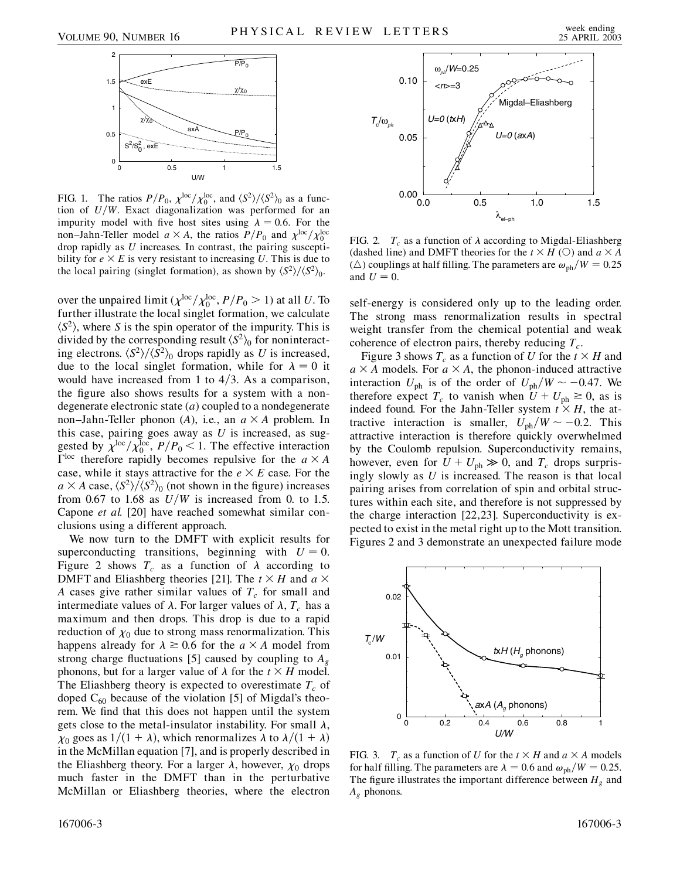

FIG. 1. The ratios  $P/P_0$ ,  $\chi^{\text{loc}}/\chi_0^{\text{loc}}$ , and  $\langle S^2 \rangle / \langle S^2 \rangle_0$  as a function of  $U/W$ . Exact diagonalization was performed for an impurity model with five host sites using  $\lambda = 0.6$ . For the non–Jahn-Teller model  $a \times A$ , the ratios  $P/P_0$  and  $\chi^{\text{loc}}/\chi_0^{\text{loc}}$ drop rapidly as *U* increases. In contrast, the pairing susceptibility for  $e \times E$  is very resistant to increasing U. This is due to the local pairing (singlet formation), as shown by  $\langle S^2 \rangle / \langle S^2 \rangle_0$ .

over the unpaired limit ( $\chi^{\text{loc}}/\chi_0^{\text{loc}}$ ,  $P/P_0 > 1$ ) at all *U*. To further illustrate the local singlet formation, we calculate  $\langle S^2 \rangle$ , where *S* is the spin operator of the impurity. This is divided by the corresponding result  $\langle S^2 \rangle_0$  for noninteracting electrons.  $\langle S^2 \rangle / \langle S^2 \rangle_0$  drops rapidly as *U* is increased, due to the local singlet formation, while for  $\lambda = 0$  it would have increased from 1 to  $4/3$ . As a comparison, the figure also shows results for a system with a nondegenerate electronic state (*a*) coupled to a nondegenerate non–Jahn-Teller phonon (A), i.e., an  $a \times A$  problem. In this case, pairing goes away as *U* is increased, as suggested by  $\chi^{\text{loc}}/\chi_0^{\text{loc}}$ ,  $P/P_0 < 1$ . The effective interaction  $\Gamma^{\text{loc}}$  therefore rapidly becomes repulsive for the  $a \times A$ case, while it stays attractive for the  $e \times E$  case. For the  $a \times A$  case,  $\langle S^2 \rangle / \langle S^2 \rangle_0$  (not shown in the figure) increases from 0.67 to 1.68 as  $U/W$  is increased from 0. to 1.5. Capone *et al.* [20] have reached somewhat similar conclusions using a different approach.

We now turn to the DMFT with explicit results for superconducting transitions, beginning with  $U = 0$ . Figure 2 shows  $T_c$  as a function of  $\lambda$  according to DMFT and Eliashberg theories [21]. The  $t \times H$  and  $a \times$ *A* cases give rather similar values of  $T_c$  for small and intermediate values of  $\lambda$ . For larger values of  $\lambda$ ,  $T_c$  has a maximum and then drops. This drop is due to a rapid reduction of  $\chi_0$  due to strong mass renormalization. This happens already for  $\lambda \geq 0.6$  for the  $a \times A$  model from strong charge fluctuations [5] caused by coupling to *Ag* phonons, but for a larger value of  $\lambda$  for the  $t \times H$  model. The Eliashberg theory is expected to overestimate  $T_c$  of doped  $C_{60}$  because of the violation [5] of Migdal's theorem. We find that this does not happen until the system gets close to the metal-insulator instability. For small  $\lambda$ ,  $\chi_0$  goes as 1/(1 +  $\lambda$ ), which renormalizes  $\lambda$  to  $\lambda/(1 + \lambda)$ in the McMillan equation [7], and is properly described in the Eliashberg theory. For a larger  $\lambda$ , however,  $\chi_0$  drops much faster in the DMFT than in the perturbative McMillan or Eliashberg theories, where the electron



FIG. 2.  $T_c$  as a function of  $\lambda$  according to Migdal-Eliashberg (dashed line) and DMFT theories for the  $t \times H$  (O) and  $a \times A$ ( $\triangle$ ) couplings at half filling. The parameters are  $\omega_{ph}/W = 0.25$ and  $U = 0$ .

self-energy is considered only up to the leading order. The strong mass renormalization results in spectral weight transfer from the chemical potential and weak coherence of electron pairs, thereby reducing  $T_c$ .

Figure 3 shows  $T_c$  as a function of *U* for the  $t \times H$  and  $a \times A$  models. For  $a \times A$ , the phonon-induced attractive interaction  $U_{\text{ph}}$  is of the order of  $U_{\text{ph}}/W \sim -0.47$ . We therefore expect  $T_c$  to vanish when  $U + U_{ph} \ge 0$ , as is indeed found. For the Jahn-Teller system  $t \times H$ , the attractive interaction is smaller,  $U_{\text{ph}}/W \sim -0.2$ . This attractive interaction is therefore quickly overwhelmed by the Coulomb repulsion. Superconductivity remains, however, even for  $U + U_{ph} \gg 0$ , and  $T_c$  drops surprisingly slowly as *U* is increased. The reason is that local pairing arises from correlation of spin and orbital structures within each site, and therefore is not suppressed by the charge interaction [22,23]. Superconductivity is expected to exist in the metal right up to the Mott transition. Figures 2 and 3 demonstrate an unexpected failure mode



FIG. 3. *T<sub>c</sub>* as a function of *U* for the  $t \times H$  and  $a \times A$  models for half filling. The parameters are  $\lambda = 0.6$  and  $\omega_{ph}/W = 0.25$ . The figure illustrates the important difference between  $H<sub>g</sub>$  and *Ag* phonons.